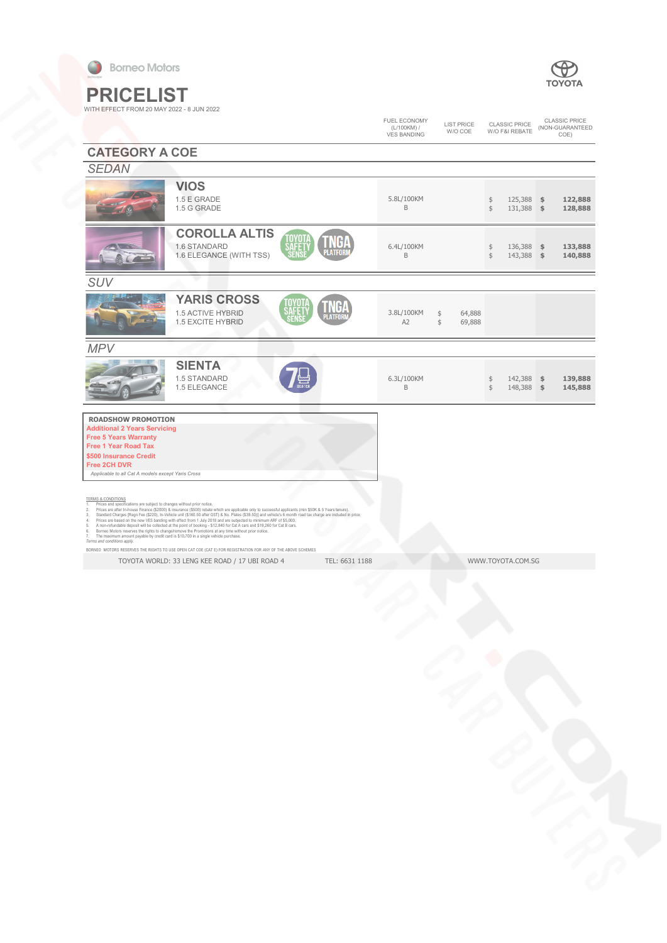

## **PRICELIST**  WITH EFFECT FROM 20 MAY 2022 - 8 JUN 2022



|                                                                                                                                                                                                                                                                                                                                                                                     |                                                                                                                                                                                                                                                                                                                                                                                                                                                                                                                                                                                                                                                                                  |                | FUEL ECONOMY<br>(L/100KM) /<br><b>VES BANDING</b> | <b>LIST PRICE</b><br>W/O COE |                           | <b>CLASSIC PRICE</b><br>W/O F&I REBATE |                     | <b>CLASSIC PRICE</b><br>(NON-GUARANTEED<br>COE) |
|-------------------------------------------------------------------------------------------------------------------------------------------------------------------------------------------------------------------------------------------------------------------------------------------------------------------------------------------------------------------------------------|----------------------------------------------------------------------------------------------------------------------------------------------------------------------------------------------------------------------------------------------------------------------------------------------------------------------------------------------------------------------------------------------------------------------------------------------------------------------------------------------------------------------------------------------------------------------------------------------------------------------------------------------------------------------------------|----------------|---------------------------------------------------|------------------------------|---------------------------|----------------------------------------|---------------------|-------------------------------------------------|
| <b>CATEGORY A COE</b>                                                                                                                                                                                                                                                                                                                                                               |                                                                                                                                                                                                                                                                                                                                                                                                                                                                                                                                                                                                                                                                                  |                |                                                   |                              |                           |                                        |                     |                                                 |
| <b>SEDAN</b>                                                                                                                                                                                                                                                                                                                                                                        |                                                                                                                                                                                                                                                                                                                                                                                                                                                                                                                                                                                                                                                                                  |                |                                                   |                              |                           |                                        |                     |                                                 |
|                                                                                                                                                                                                                                                                                                                                                                                     | <b>VIOS</b><br>1.5 E GRADE<br>1.5 G GRADE                                                                                                                                                                                                                                                                                                                                                                                                                                                                                                                                                                                                                                        |                | 5.8L/100KM<br>B                                   |                              | \$<br>$\dot{\mathbb{S}}$  | 125,388 \$<br>131,388 \$               |                     | 122,888<br>128,888                              |
|                                                                                                                                                                                                                                                                                                                                                                                     | <b>COROLLA ALTIS</b><br>'OYOT<br>1.6 STANDARD<br>1.6 ELEGANCE (WITH TSS)                                                                                                                                                                                                                                                                                                                                                                                                                                                                                                                                                                                                         |                | 6.4L/100KM<br>B                                   |                              | \$<br>\$                  | 136,388<br>143,388                     | \$<br>$\frac{1}{2}$ | 133,888<br>140,888                              |
| <b>SUV</b>                                                                                                                                                                                                                                                                                                                                                                          |                                                                                                                                                                                                                                                                                                                                                                                                                                                                                                                                                                                                                                                                                  |                |                                                   |                              |                           |                                        |                     |                                                 |
|                                                                                                                                                                                                                                                                                                                                                                                     | <b>YARIS CROSS</b><br><b>1.5 ACTIVE HYBRID</b><br><b>1.5 EXCITE HYBRID</b>                                                                                                                                                                                                                                                                                                                                                                                                                                                                                                                                                                                                       |                | 3.8L/100KM<br>A2                                  | \$<br>64,888<br>\$<br>69,888 |                           |                                        |                     |                                                 |
| <b>MPV</b>                                                                                                                                                                                                                                                                                                                                                                          |                                                                                                                                                                                                                                                                                                                                                                                                                                                                                                                                                                                                                                                                                  |                |                                                   |                              |                           |                                        |                     |                                                 |
|                                                                                                                                                                                                                                                                                                                                                                                     | <b>SIENTA</b><br>1.5 STANDARD<br>1.5 ELEGANCE                                                                                                                                                                                                                                                                                                                                                                                                                                                                                                                                                                                                                                    |                | 6.3L/100KM<br>B                                   |                              | \$<br>$\ddot{\mathbf{S}}$ | 142,388 \$<br>148,388 \$               |                     | 139,888<br>145,888                              |
| <b>ROADSHOW PROMOTION</b><br><b>Additional 2 Years Servicing</b><br><b>Free 5 Years Warranty</b><br><b>Free 1 Year Road Tax</b><br>\$500 Insurance Credit<br><b>Free 2CH DVR</b><br>Applicable to all Cat A models except Yaris Cross<br><b>TERMS &amp; CONDITIONS</b><br>Prices and specifications are subject to changes without prior notice.<br>1.<br>2.<br>3.<br>4<br>5.<br>6. | Prices are after In-house Finance (\$2000) & insurance (\$500) rebate which are applicable only to successful applicants (min \$50K & 5 Years tenure).<br>Standard Charges [Regn Fee (\$220), In-Vehicle unit (\$160.50 after GST) & No. Plates (\$39.50)] and vehicle's 6 month road tax charge are included in price.<br>Prices are based on the new VES banding with effect from 1 July 2018 and are subjected to minimum ARF of \$5,000.<br>A non-refundable deposit will be collected at the point of booking - \$12,840 for Cat A cars and \$19,260 for Cat B cars.<br>Borneo Motors reserves the rights to change/remove the Promotions at any time without prior notice. |                |                                                   |                              |                           |                                        |                     |                                                 |
| The maximum amount payable by credit card is \$10,700 in a single vehicle purchase.<br>7.<br>Terms and conditions apply.                                                                                                                                                                                                                                                            | BORNEO MOTORS RESERVES THE RIGHTS TO USE OPEN CAT COE (CAT E) FOR REGISTRATION FOR ANY OF THE ABOVE SCHEMES                                                                                                                                                                                                                                                                                                                                                                                                                                                                                                                                                                      |                |                                                   |                              |                           |                                        |                     |                                                 |
|                                                                                                                                                                                                                                                                                                                                                                                     | TOYOTA WORLD: 33 LENG KEE ROAD / 17 UBI ROAD 4                                                                                                                                                                                                                                                                                                                                                                                                                                                                                                                                                                                                                                   | TEL: 6631 1188 |                                                   |                              |                           | WWW.TOYOTA.COM.SG                      |                     |                                                 |
|                                                                                                                                                                                                                                                                                                                                                                                     |                                                                                                                                                                                                                                                                                                                                                                                                                                                                                                                                                                                                                                                                                  |                |                                                   |                              |                           |                                        |                     |                                                 |